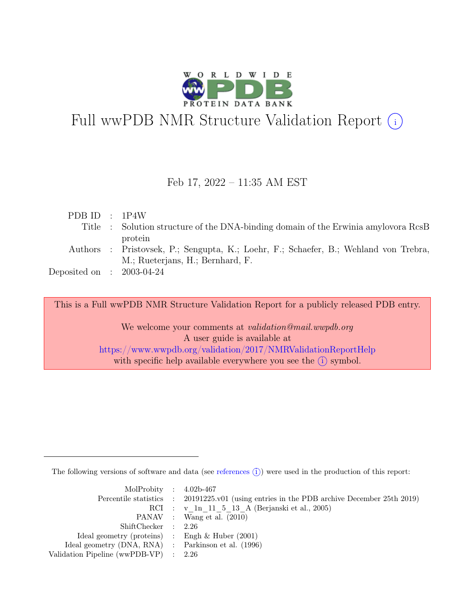

# Full wwPDB NMR Structure Validation Report (i)

#### Feb 17, 2022 – 11:35 AM EST

| PDBID : 1P4W                |                                                                                      |
|-----------------------------|--------------------------------------------------------------------------------------|
|                             | Title : Solution structure of the DNA-binding domain of the Erwinia amylovora RcsB   |
|                             | protein                                                                              |
|                             | Authors : Pristovsek, P.; Sengupta, K.; Loehr, F.; Schaefer, B.; Wehland von Trebra, |
|                             | M.; Rueterjans, H.; Bernhard, F.                                                     |
| Deposited on : $2003-04-24$ |                                                                                      |

This is a Full wwPDB NMR Structure Validation Report for a publicly released PDB entry.

We welcome your comments at *validation@mail.wwpdb.org* A user guide is available at <https://www.wwpdb.org/validation/2017/NMRValidationReportHelp> with specific help available everywhere you see the  $(i)$  symbol.

The following versions of software and data (see [references](https://www.wwpdb.org/validation/2017/NMRValidationReportHelp#references)  $\hat{I}$ ) were used in the production of this report:

| MolProbity : $4.02b-467$                            |                                                                                            |
|-----------------------------------------------------|--------------------------------------------------------------------------------------------|
|                                                     | Percentile statistics : 20191225.v01 (using entries in the PDB archive December 25th 2019) |
|                                                     | RCI : v 1n 11 5 13 A (Berjanski et al., 2005)                                              |
|                                                     | PANAV : Wang et al. (2010)                                                                 |
| ShiftChecker : 2.26                                 |                                                                                            |
| Ideal geometry (proteins) : Engh $\&$ Huber (2001)  |                                                                                            |
| Ideal geometry (DNA, RNA) : Parkinson et al. (1996) |                                                                                            |
| Validation Pipeline (wwPDB-VP) $\therefore$ 2.26    |                                                                                            |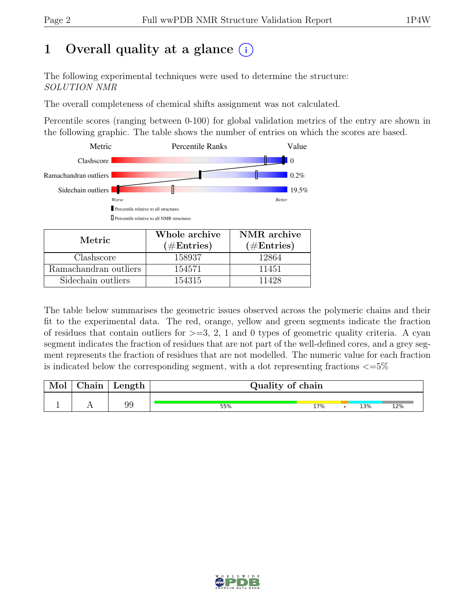# 1 Overall quality at a glance  $(i)$

The following experimental techniques were used to determine the structure: SOLUTION NMR

The overall completeness of chemical shifts assignment was not calculated.

Percentile scores (ranging between 0-100) for global validation metrics of the entry are shown in the following graphic. The table shows the number of entries on which the scores are based.



| Metric.               | Whole archive<br>$(\#Entries)$ | NMR archive<br>$(\#Entries)$ |
|-----------------------|--------------------------------|------------------------------|
| Clashscore            | 158937                         | 12864                        |
| Ramachandran outliers | 154571                         | 11451                        |
| Sidechain outliers    | 154315                         | 11428                        |

The table below summarises the geometric issues observed across the polymeric chains and their fit to the experimental data. The red, orange, yellow and green segments indicate the fraction of residues that contain outliers for  $>=$  3, 2, 1 and 0 types of geometric quality criteria. A cyan segment indicates the fraction of residues that are not part of the well-defined cores, and a grey segment represents the fraction of residues that are not modelled. The numeric value for each fraction is indicated below the corresponding segment, with a dot representing fractions  $\langle=5\%$ 

| Mol | Chain | $\perp$ Length $\perp$ | Quality of chain |     |  |     |     |  |  |  |  |  |  |
|-----|-------|------------------------|------------------|-----|--|-----|-----|--|--|--|--|--|--|
|     |       | 99                     | 55%              | 17% |  | 13% | 12% |  |  |  |  |  |  |

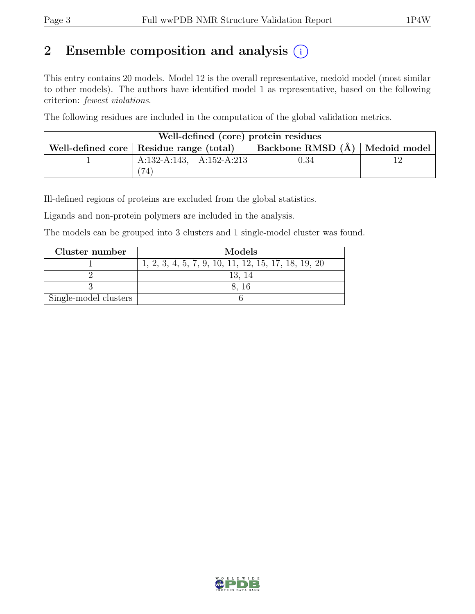# 2 Ensemble composition and analysis  $(i)$

This entry contains 20 models. Model 12 is the overall representative, medoid model (most similar to other models). The authors have identified model 1 as representative, based on the following criterion: fewest violations.

The following residues are included in the computation of the global validation metrics.

| Well-defined (core) protein residues |                                           |                                  |  |  |  |  |  |  |  |  |  |  |
|--------------------------------------|-------------------------------------------|----------------------------------|--|--|--|--|--|--|--|--|--|--|
|                                      | Well-defined core   Residue range (total) | Backbone RMSD (Å)   Medoid model |  |  |  |  |  |  |  |  |  |  |
|                                      | A:132-A:143, A:152-A:213                  | 0.34                             |  |  |  |  |  |  |  |  |  |  |
|                                      |                                           |                                  |  |  |  |  |  |  |  |  |  |  |

Ill-defined regions of proteins are excluded from the global statistics.

Ligands and non-protein polymers are included in the analysis.

The models can be grouped into 3 clusters and 1 single-model cluster was found.

| Cluster number        | Models                                              |
|-----------------------|-----------------------------------------------------|
|                       | 1, 2, 3, 4, 5, 7, 9, 10, 11, 12, 15, 17, 18, 19, 20 |
|                       | 13, 14                                              |
|                       | 8. 16                                               |
| Single-model clusters |                                                     |

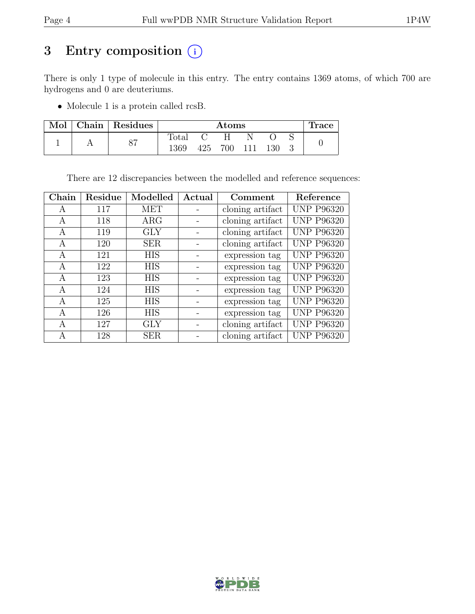# 3 Entry composition  $(i)$

There is only 1 type of molecule in this entry. The entry contains 1369 atoms, of which 700 are hydrogens and 0 are deuteriums.

• Molecule 1 is a protein called rcsB.

| Mol | Chain   Residues |       | $\rm{Atoms}$ |     |  |     |  |  |  |  |  |  |
|-----|------------------|-------|--------------|-----|--|-----|--|--|--|--|--|--|
|     | $\circ$          | Fotal |              |     |  |     |  |  |  |  |  |  |
|     | ⊙⊣               | 1369  | 425          | 700 |  | 130 |  |  |  |  |  |  |

There are 12 discrepancies between the modelled and reference sequences:

| Chain | Residue | Modelled   | Actual | Comment          | Reference         |
|-------|---------|------------|--------|------------------|-------------------|
| А     | 117     | <b>MET</b> |        | cloning artifact | <b>UNP P96320</b> |
| A     | 118     | $\rm{ARG}$ |        | cloning artifact | <b>UNP P96320</b> |
| A     | 119     | <b>GLY</b> |        | cloning artifact | <b>UNP P96320</b> |
| А     | 120     | <b>SER</b> |        | cloning artifact | <b>UNP P96320</b> |
| А     | 121     | <b>HIS</b> |        | expression tag   | <b>UNP P96320</b> |
| A     | 122     | <b>HIS</b> |        | expression tag   | <b>UNP P96320</b> |
| A     | 123     | <b>HIS</b> |        | expression tag   | <b>UNP P96320</b> |
| A     | 124     | <b>HIS</b> |        | expression tag   | <b>UNP P96320</b> |
| A     | 125     | <b>HIS</b> |        | expression tag   | <b>UNP P96320</b> |
| A     | 126     | <b>HIS</b> |        | expression tag   | <b>UNP P96320</b> |
| A     | 127     | <b>GLY</b> |        | cloning artifact | <b>UNP P96320</b> |
| A     | 128     | <b>SER</b> |        | cloning artifact | <b>UNP P96320</b> |

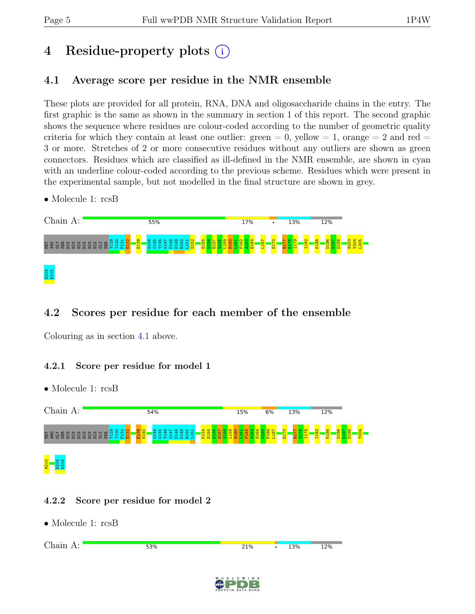# 4 Residue-property plots (i)

## <span id="page-4-0"></span>4.1 Average score per residue in the NMR ensemble

These plots are provided for all protein, RNA, DNA and oligosaccharide chains in the entry. The first graphic is the same as shown in the summary in section 1 of this report. The second graphic shows the sequence where residues are colour-coded according to the number of geometric quality criteria for which they contain at least one outlier:  $green = 0$ ,  $yellow = 1$ ,  $orange = 2$  and  $red =$ 3 or more. Stretches of 2 or more consecutive residues without any outliers are shown as green connectors. Residues which are classified as ill-defined in the NMR ensemble, are shown in cyan with an underline colour-coded according to the previous scheme. Residues which were present in the experimental sample, but not modelled in the final structure are shown in grey.

• Molecule 1: rcsB



# 4.2 Scores per residue for each member of the ensemble

Colouring as in section [4.1](#page-4-0) above.

#### 4.2.1 Score per residue for model 1

• Molecule 1: rcsB



#### 4.2.2 Score per residue for model 2



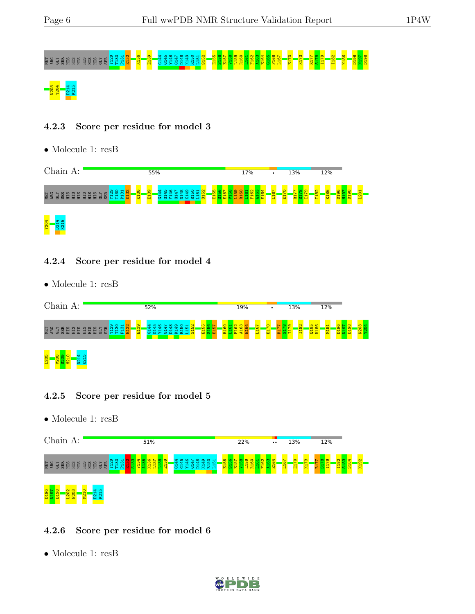# MET ARG GLY SER HIS HIS HIS HIS HIS HIS GLY SER Y129 T130 P131 E132 K136 E139 G144 G145 Y146 G147 D148 K149 R150 L151 S152 E155 S156 E157 V158 L159 R160 L161 F162 A163 E164 G165 F166 L167 E170 K173 R177 S178 I179 I182 K186 D196 N197 D198 204 - 14<br>204 - 14<br>204 D214

#### 4.2.3 Score per residue for model 3

• Molecule 1: rcsB



#### 4.2.4 Score per residue for model 4

• Molecule 1: rcsB



#### 4.2.5 Score per residue for model 5

• Molecule 1: rcsB



#### 4.2.6 Score per residue for model 6

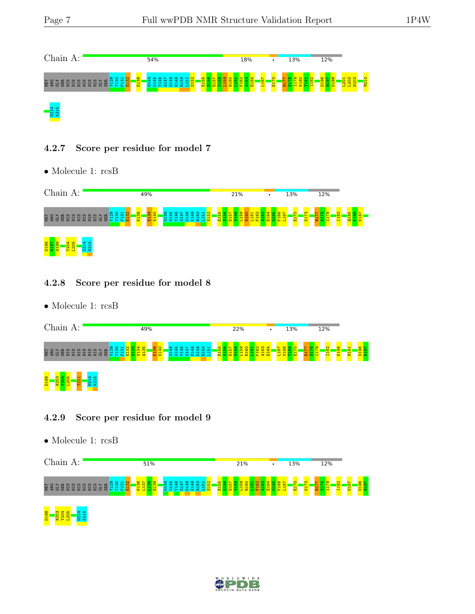

#### 4.2.7 Score per residue for model 7

• Molecule 1: rcsB



#### 4.2.8 Score per residue for model 8

• Molecule 1: rcsB

|             | Chain A: |        |   |   |               |   | 49% |   |     |         |              |    |  |   | 22% |  |                    |  |   |      | 13% |      |  | 12% |   |  |  |  |  |  |   |  |         |  |  |  |  |  |               |        |        |          |  |
|-------------|----------|--------|---|---|---------------|---|-----|---|-----|---------|--------------|----|--|---|-----|--|--------------------|--|---|------|-----|------|--|-----|---|--|--|--|--|--|---|--|---------|--|--|--|--|--|---------------|--------|--------|----------|--|
| <b>МЕТ</b>  |          | 圐<br>日 | 目 | 量 | 日<br>量        | 量 | 量   | ᇦ | 위복복 | $\circ$ | $\mathbf{H}$ | 문법 |  | 륳 | 違   |  | ల్ల<br>å<br>풉<br>륯 |  | で | ,,,, |     | e by |  | 불표  | 冨 |  |  |  |  |  | 륣 |  | స<br>g. |  |  |  |  |  | $\infty$<br>릅 | œ<br>륯 | ᇬ<br>륳 | $\sigma$ |  |
| <b>B6TD</b> |          | ≌      |   |   | -<br>$\alpha$ |   |     |   |     |         |              |    |  |   |     |  |                    |  |   |      |     |      |  |     |   |  |  |  |  |  |   |  |         |  |  |  |  |  |               |        |        |          |  |

#### 4.2.9 Score per residue for model 9





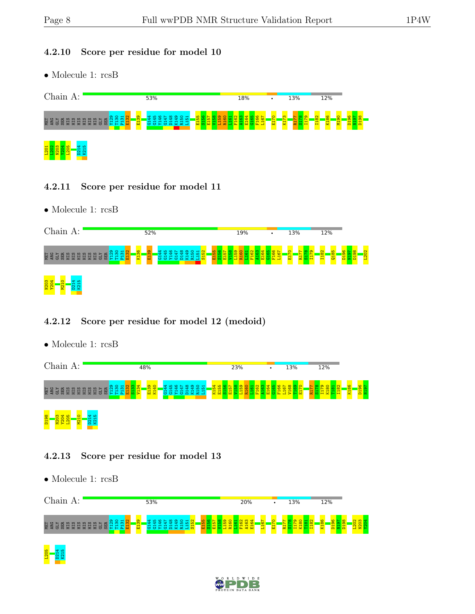#### 4.2.10 Score per residue for model 10

• Molecule 1: rcsB



#### 4.2.11 Score per residue for model 11

• Molecule 1: rcsB

| Chain A:                                                                       | 52%                                  |   | 19% | 13%<br>$\bullet$ | 12%                                 |        |
|--------------------------------------------------------------------------------|--------------------------------------|---|-----|------------------|-------------------------------------|--------|
| ್ಲ<br>NET<br>ARG<br>圆<br>H<br>믦<br>뵤<br>보보<br>量<br>륩<br>IS 87<br>븅<br>量<br>l a | $\frac{8}{2}$<br>္ကြ<br>륩<br>륯<br>でか | ы |     | c<br>류           | S.<br>ш,<br>$\infty$<br>ക<br>룸<br>픕 | 8<br>g |
| N203<br>Y204<br><b>N21</b>                                                     |                                      |   |     |                  |                                     |        |

#### 4.2.12 Score per residue for model 12 (medoid)

• Molecule 1: rcsB

| Chain<br>A:                                                     | 48%                                | 23%    | 13% | 12%    |                     |
|-----------------------------------------------------------------|------------------------------------|--------|-----|--------|---------------------|
| <b>DED</b><br>탈<br>H<br>H<br>H<br>Ħ<br>ਲ<br>$\overline{m}$<br>ਲ | ത<br>$\bullet$<br>룝<br>풉<br>ळ<br>× | 풉<br>륯 | 륾   | œ<br>× | $\frac{86}{2}$<br>륯 |
| $\overline{\mathbf{g}}$<br>븀<br>믇                               |                                    |        |     |        |                     |

## 4.2.13 Score per residue for model 13



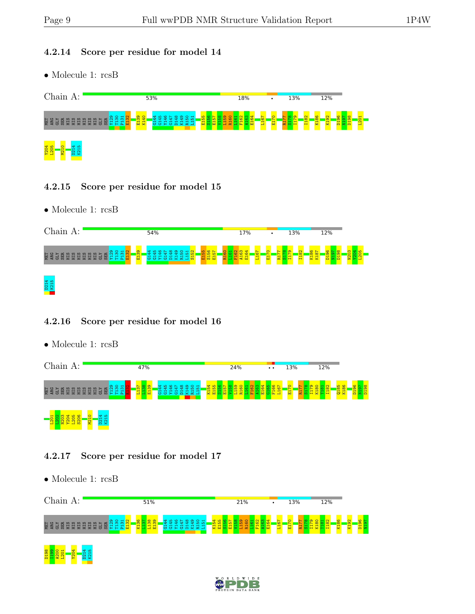#### 4.2.14 Score per residue for model 14

• Molecule 1: rcsB



#### 4.2.15 Score per residue for model 15

• Molecule 1: rcsB

| Chain A:                                                                                   | 54%         | 17%<br>$\bullet$ | 13%                               | 12%         |
|--------------------------------------------------------------------------------------------|-------------|------------------|-----------------------------------|-------------|
| ని చ<br><u> တွ</u><br>ច្ន<br>E<br>说<br>풉<br>閍<br>굡<br>븅<br>景<br>H<br>H<br>H<br>븀<br>e<br>목 | 퓹<br>풂<br>ы | 률<br>륩<br>畐      | ŏ<br>$\infty$<br>븉<br>븇<br>븝<br>픕 | 호<br>Ξ<br>۵ |
| D214<br>K215                                                                               |             |                  |                                   |             |

#### 4.2.16 Score per residue for model 16

• Molecule 1: rcsB

| Chain<br>A:                                                                           | 47% | 24%           | $\bullet\hspace{0.1cm} \bullet\hspace{0.1cm}\bullet$ | 13%<br>12%                  |        |
|---------------------------------------------------------------------------------------|-----|---------------|------------------------------------------------------|-----------------------------|--------|
| $\circ$<br>$\mathbf{H}$<br>절<br>ARG<br>岛<br>â<br>景<br>븅<br>盖<br>H<br>量<br>H<br>н<br>ᇑ | ਸ਼  | v<br>M<br>m > | $\circ$<br>$\overline{ }$<br>冨<br>в<br>⊣             | 0185<br>K186<br>븝<br>귵<br>× | 품<br>Ξ |
| c<br>$\mathbf{H}$<br>읒<br><b>v</b><br>Е                                               |     |               |                                                      |                             |        |

#### 4.2.17 Score per residue for model 17



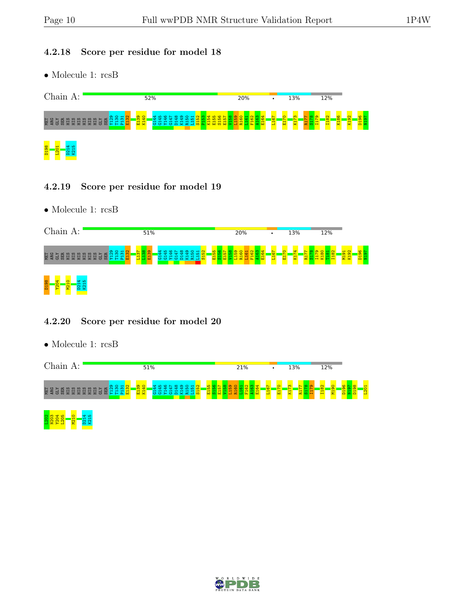#### 4.2.18 Score per residue for model 18

• Molecule 1: rcsB



#### 4.2.19 Score per residue for model 19

• Molecule 1: rcsB

| Chain A:                                                                    | 51%            | 20% | $\bullet$ | 13%         | 12%    |   |
|-----------------------------------------------------------------------------|----------------|-----|-----------|-------------|--------|---|
| ത<br>NET<br>ARG<br>圆<br>H<br>量<br>一册<br>Ħ<br>IS 21<br>륩<br>뷰<br>븀<br>量<br>量 | m<br><b>DO</b> | 풉   | 급         | 륯<br>풉<br>꾿 | 륳<br>로 | δ |
| D <sub>198</sub><br>ន<br>윤                                                  |                |     |           |             |        |   |

#### 4.2.20 Score per residue for model 20

| . פנמי        | 51%                 | 21% | 13% | 12% |  |
|---------------|---------------------|-----|-----|-----|--|
| 图<br>4RG<br>æ | ၈ ဝ<br>$\mathbf{H}$ |     |     |     |  |



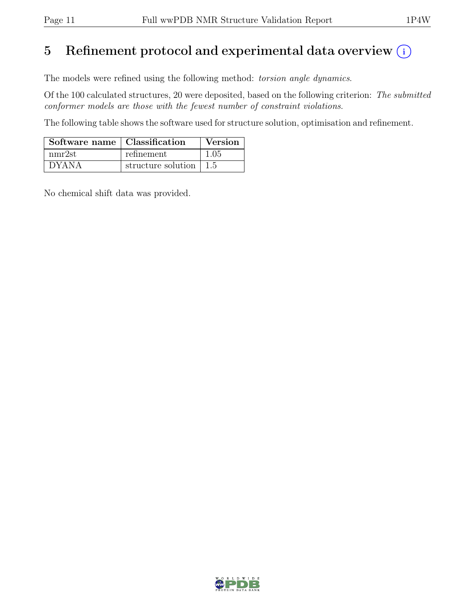# 5 Refinement protocol and experimental data overview  $(i)$

The models were refined using the following method: torsion angle dynamics.

Of the 100 calculated structures, 20 were deposited, based on the following criterion: The submitted conformer models are those with the fewest number of constraint violations.

The following table shows the software used for structure solution, optimisation and refinement.

| Software name   Classification |                                        | Version |
|--------------------------------|----------------------------------------|---------|
| nmr2st                         | refinement                             | 1.05    |
| <b>DYANA</b>                   | structure solution $\vert 1.5 \rangle$ |         |

No chemical shift data was provided.

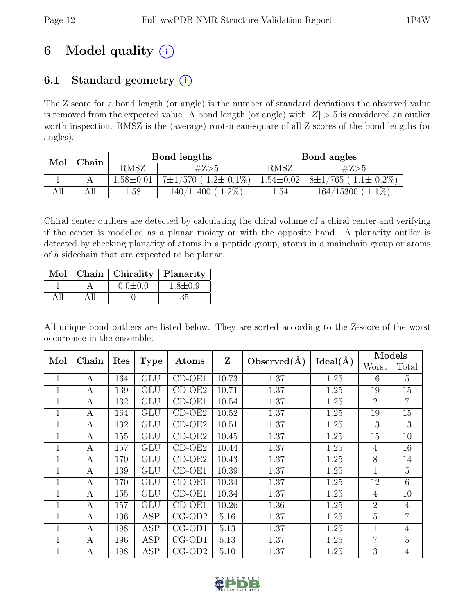# 6 Model quality  $(i)$

# 6.1 Standard geometry  $(i)$

The Z score for a bond length (or angle) is the number of standard deviations the observed value is removed from the expected value. A bond length (or angle) with  $|Z| > 5$  is considered an outlier worth inspection. RMSZ is the (average) root-mean-square of all Z scores of the bond lengths (or angles).

| Mol | ${\rm Chain}$ |               | Bond lengths                                     |                 | Bond angles                                |  |
|-----|---------------|---------------|--------------------------------------------------|-----------------|--------------------------------------------|--|
|     |               | RMSZ          | #Z>5                                             | RMSZ            | #Z>5                                       |  |
|     |               | $1.58 + 0.01$ | $1.2 \pm 0.1\%$<br>$^{\prime}570$ (<br>$7\pm1$ / | $1.54 \pm 0.02$ | $(1.1 \pm 0.2\%)$<br>$8\pm1/$<br>$'765$ (  |  |
| All | All           | 1.58          | $1.2\%$<br>140/11400                             | 1.54            | $1.1\%$<br>$\langle 15300 \rangle$<br>164/ |  |

Chiral center outliers are detected by calculating the chiral volume of a chiral center and verifying if the center is modelled as a planar moiety or with the opposite hand. A planarity outlier is detected by checking planarity of atoms in a peptide group, atoms in a mainchain group or atoms of a sidechain that are expected to be planar.

|  | Mol   Chain   Chirality   Planarity |               |
|--|-------------------------------------|---------------|
|  | $0.0 \pm 0.0$                       | $1.8 \pm 0.9$ |
|  |                                     | 35            |

All unique bond outliers are listed below. They are sorted according to the Z-score of the worst occurrence in the ensemble.

| Mol          | Chain | Res | <b>Type</b> | Atoms                      | Z     | Observed $(\AA)$ | Ideal(A) | Models         |                |
|--------------|-------|-----|-------------|----------------------------|-------|------------------|----------|----------------|----------------|
|              |       |     |             |                            |       |                  |          | Worst          | Total          |
| $\mathbf{1}$ | A     | 164 | <b>GLU</b>  | $CD-OE1$                   | 10.73 | 1.37             | 1.25     | 16             | 5              |
| $\mathbf{1}$ | A     | 139 | <b>GLU</b>  | $CD-OE2$                   | 10.71 | 1.37             | 1.25     | 19             | 15             |
| $\mathbf{1}$ | A     | 132 | <b>GLU</b>  | $CD-OE1$                   | 10.54 | 1.37             | 1.25     | $\overline{2}$ | $\overline{7}$ |
| 1            | A     | 164 | GLU         | CD-OE2                     | 10.52 | 1.37             | 1.25     | 19             | 15             |
| $\mathbf{1}$ | А     | 132 | <b>GLU</b>  | $\overline{\text{CD-OE2}}$ | 10.51 | 1.37             | 1.25     | 13             | 13             |
| $\mathbf{1}$ | A     | 155 | GLU         | $\overline{CD}-OE2$        | 10.45 | 1.37             | 1.25     | 15             | 10             |
| $\mathbf{1}$ | А     | 157 | <b>GLU</b>  | $CD-OE2$                   | 10.44 | 1.37             | 1.25     | $\overline{4}$ | 16             |
| $\mathbf{1}$ | А     | 170 | <b>GLU</b>  | $CD-OE2$                   | 10.43 | 1.37             | 1.25     | 8              | 14             |
| $\mathbf{1}$ | А     | 139 | <b>GLU</b>  | CD-OE1                     | 10.39 | 1.37             | 1.25     | 1              | 5              |
| $\mathbf{1}$ | А     | 170 | <b>GLU</b>  | CD-OE1                     | 10.34 | 1.37             | 1.25     | 12             | 6              |
| 1            | A     | 155 | <b>GLU</b>  | CD-OE1                     | 10.34 | 1.37             | 1.25     | $\overline{4}$ | 10             |
| $\mathbf{1}$ | A     | 157 | <b>GLU</b>  | $CD-OE1$                   | 10.26 | 1.36             | 1.25     | $\overline{2}$ | $\overline{4}$ |
| 1            | A     | 196 | <b>ASP</b>  | $CG-OD2$                   | 5.16  | 1.37             | 1.25     | 5              | $\overline{7}$ |
| $\mathbf{1}$ | A     | 198 | <b>ASP</b>  | $CG-OD1$                   | 5.13  | 1.37             | 1.25     | 1              | $\overline{4}$ |
| $\mathbf{1}$ | A     | 196 | <b>ASP</b>  | $CG-OD1$                   | 5.13  | 1.37             | 1.25     | $\overline{7}$ | $\overline{5}$ |
| $\mathbf{1}$ | А     | 198 | <b>ASP</b>  | $CG-OD2$                   | 5.10  | 1.37             | 1.25     | 3              | $\overline{4}$ |

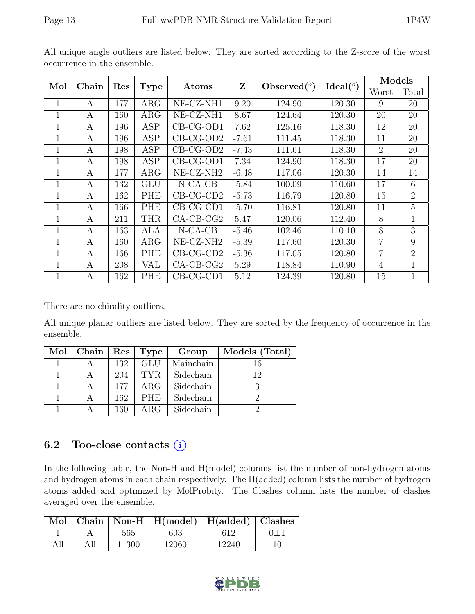| Mol          | Chain<br>Res |     | <b>Type</b> | Atoms                 | Z       | Observed $(°)$ | Ideal <sup>(o)</sup> | Models         |                |
|--------------|--------------|-----|-------------|-----------------------|---------|----------------|----------------------|----------------|----------------|
|              |              |     |             |                       |         |                |                      | Worst          | Total          |
| 1            | A            | 177 | $\rm{ARG}$  | NE-CZ-NH1             | 9.20    | 124.90         | 120.30               | 9              | 20             |
| 1            | A            | 160 | $\rm{ARG}$  | $NE- CZ-NH1$          | 8.67    | 124.64         | 120.30               | 20             | 20             |
| $\mathbf 1$  | A            | 196 | <b>ASP</b>  | $CB-CG-OD1$           | 7.62    | 125.16         | 118.30               | 12             | 20             |
| 1            | A            | 196 | <b>ASP</b>  | $CB-CG-OD2$           | $-7.61$ | 111.45         | 118.30               | 11             | 20             |
| $\mathbf{1}$ | A            | 198 | <b>ASP</b>  | $CB-CG-OD2$           | $-7.43$ | 111.61         | 118.30               | $\overline{2}$ | 20             |
| $\mathbf{1}$ | A            | 198 | <b>ASP</b>  | $CB-CG-OD1$           | 7.34    | 124.90         | 118.30               | 17             | 20             |
| 1            | A            | 177 | $\rm{ARG}$  | NE-CZ-NH <sub>2</sub> | $-6.48$ | 117.06         | 120.30               | 14             | 14             |
| 1            | A            | 132 | GLU         | $N$ -CA-CB            | $-5.84$ | 100.09         | 110.60               | 17             | 6              |
| $\mathbf 1$  | A            | 162 | PHE         | $CB-CG-CD2$           | $-5.73$ | 116.79         | 120.80               | 15             | $\overline{2}$ |
| $\mathbf{1}$ | A            | 166 | PHE         | $CB-CG-CD1$           | $-5.70$ | 116.81         | 120.80               | 11             | $\overline{5}$ |
| $\mathbf 1$  | A            | 211 | <b>THR</b>  | $CA$ -CB-CG2          | 5.47    | 120.06         | 112.40               | 8              | $\mathbf{1}$   |
| 1            | A            | 163 | ALA         | $N$ -CA-CB            | $-5.46$ | 102.46         | 110.10               | 8              | 3              |
| 1            | A            | 160 | $\rm{ARG}$  | $NE- CZ-NH2$          | $-5.39$ | 117.60         | 120.30               | $\overline{7}$ | 9              |
| $\mathbf{1}$ | A            | 166 | PHE         | $CB-CG-CD2$           | $-5.36$ | 117.05         | 120.80               | $\overline{7}$ | $\overline{2}$ |
| 1            | A            | 208 | VAL         | $CA$ -CB-CG2          | 5.29    | 118.84         | 110.90               | $\overline{4}$ | $\mathbf{1}$   |
| 1            | A            | 162 | PHE         | $CB-CG-CD1$           | 5.12    | 124.39         | 120.80               | 15             | $\mathbf{1}$   |

All unique angle outliers are listed below. They are sorted according to the Z-score of the worst occurrence in the ensemble.

There are no chirality outliers.

All unique planar outliers are listed below. They are sorted by the frequency of occurrence in the ensemble.

| Mol | ${\bf Chain}$ | Res | Type       | Group     | Models (Total) |
|-----|---------------|-----|------------|-----------|----------------|
|     |               | 132 | GLU        | Mainchain |                |
|     |               | 204 | TYR.       | Sidechain | 19             |
|     |               | 177 | $\rm{ARG}$ | Sidechain |                |
|     |               | 162 | <b>PHE</b> | Sidechain |                |
|     |               | 160 | ARG        | Sidechain |                |

## 6.2 Too-close contacts  $(i)$

In the following table, the Non-H and H(model) columns list the number of non-hydrogen atoms and hydrogen atoms in each chain respectively. The H(added) column lists the number of hydrogen atoms added and optimized by MolProbity. The Clashes column lists the number of clashes averaged over the ensemble.

|  |       | Mol   Chain   Non-H   H(model)   H(added)   Clashes |       |                  |
|--|-------|-----------------------------------------------------|-------|------------------|
|  | 565   | 603                                                 | 619   | $\overline{1+1}$ |
|  | 11300 | 12060                                               | 12240 |                  |

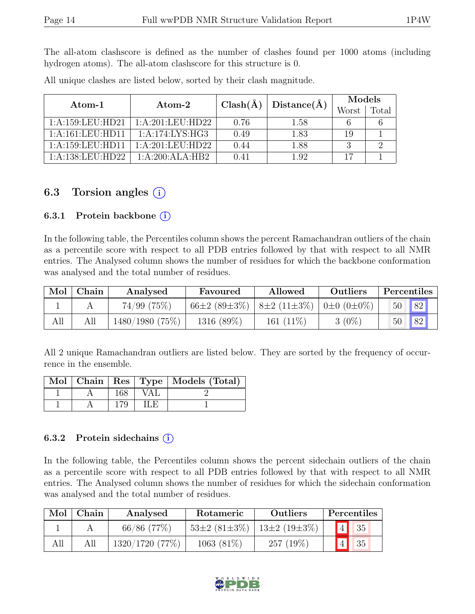The all-atom clashscore is defined as the number of clashes found per 1000 atoms (including hydrogen atoms). The all-atom clashscore for this structure is 0.

| Atom-1               | Atom-2                                    | $Clash(\AA)$ | Distance(A) | Models |       |
|----------------------|-------------------------------------------|--------------|-------------|--------|-------|
|                      |                                           |              |             | Worst  | Total |
| 1: A: 159: LEU: HD21 | 1:A:201:LEU:HD22                          | 0.76         | 1.58        |        |       |
| 1: A: 161: LEU: HD11 | 1:A:174:LYS:HG3                           | 0.49         | 1.83        | 19     |       |
| 1: A: 159: LEU: HDI1 | 1: A:201:LEU:HD22                         | 0.44         | 1.88        |        |       |
| 1: A: 138: LEU: HD22 | $1 \cdot A \cdot 200 \cdot ALA \cdot HB2$ | 0.41         | 1.92        |        |       |

All unique clashes are listed below, sorted by their clash magnitude.

## 6.3 Torsion angles  $(i)$

#### 6.3.1 Protein backbone  $(i)$

In the following table, the Percentiles column shows the percent Ramachandran outliers of the chain as a percentile score with respect to all PDB entries followed by that with respect to all NMR entries. The Analysed column shows the number of residues for which the backbone conformation was analysed and the total number of residues.

|     | $Mol$   Chain | Analysed<br>Allowed<br>Favoured |                    | Outliers                              | Percentiles |           |
|-----|---------------|---------------------------------|--------------------|---------------------------------------|-------------|-----------|
|     |               | $74/99$ $(75\%)$                | $66\pm2(89\pm3\%)$ | $ 8\pm 2(11\pm 3\%) 0\pm 0(0\pm 0\%)$ |             | 82 <br>50 |
| All |               | 1480/1980(75%)                  | $1316(89\%)$       | 161 $(11\%)$                          | $3(0\%)$    | 82 <br>50 |

All 2 unique Ramachandran outliers are listed below. They are sorted by the frequency of occurrence in the ensemble.

|  |     |     | Mol   Chain   Res   Type   Models (Total) |
|--|-----|-----|-------------------------------------------|
|  | 168 | VAL |                                           |
|  | 179 | ा   |                                           |

#### 6.3.2 Protein sidechains  $(i)$

In the following table, the Percentiles column shows the percent sidechain outliers of the chain as a percentile score with respect to all PDB entries followed by that with respect to all NMR entries. The Analysed column shows the number of residues for which the sidechain conformation was analysed and the total number of residues.

| Mol | Chain | Analysed       | Rotameric                               | Outliers    | Percentiles |    |  |
|-----|-------|----------------|-----------------------------------------|-------------|-------------|----|--|
|     |       | $66/86$ (77\%) | $53\pm2(81\pm3\%)$   $13\pm2(19\pm3\%)$ |             | $\boxed{4}$ | 35 |  |
| All |       | 1320/1720(77%) | $1063(81\%)$                            | $257(19\%)$ | 4           | 35 |  |

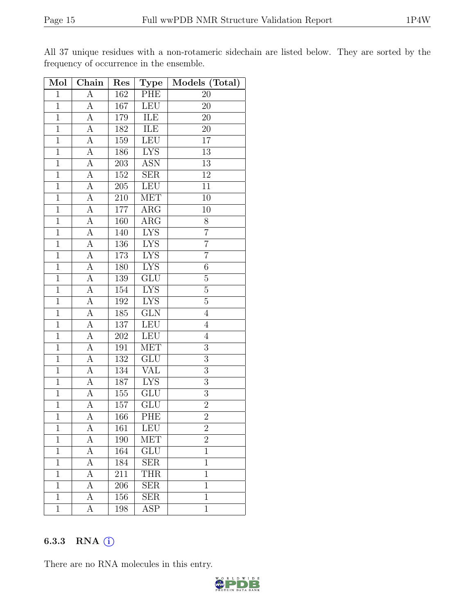| Mol            | $\overline{\text{Chain}}$ | Res              | <b>Type</b>             | Models (Total)  |
|----------------|---------------------------|------------------|-------------------------|-----------------|
| $\mathbf{1}$   | А                         | 162              | PHE                     | 20              |
| $\mathbf{1}$   | А                         | 167              | <b>LEU</b>              | 20              |
| $\overline{1}$ | $\overline{A}$            | 179              | <b>ILE</b>              | 20              |
| $\mathbf{1}$   | A                         | 182              | ILE                     | 20              |
| $\overline{1}$ | $\overline{A}$            | 159              | <b>LEU</b>              | $\overline{17}$ |
| $\mathbf{1}$   | A                         | 186              | <b>LYS</b>              | 13              |
| $\overline{1}$ | $\overline{\rm A}$        | $\overline{203}$ | <b>ASN</b>              | $\overline{13}$ |
| $\mathbf{1}$   | $\overline{\rm A}$        | 152              | $\overline{\text{SER}}$ | $12\,$          |
| $\mathbf{1}$   | $\overline{A}$            | 205              | LEU                     | $11\,$          |
| $\overline{1}$ | $\overline{A}$            | 210              | <b>MET</b>              | 10              |
| $\mathbf{1}$   | A                         | 177              | $\rm{ARG}$              | 10              |
| $\mathbf{1}$   | $\overline{A}$            | 160              | $\overline{\text{ARG}}$ | $8\,$           |
| $\overline{1}$ | $\overline{A}$            | 140              | <b>LYS</b>              | $\overline{7}$  |
| $\overline{1}$ | A                         | 136              | <b>LYS</b>              | $\overline{7}$  |
| $\overline{1}$ | A                         | 173              | <b>LYS</b>              | $\overline{7}$  |
| $\overline{1}$ | A                         | 180              | <b>LYS</b>              | $\sqrt{6}$      |
| $\mathbf 1$    | A                         | 139              | $\overline{\text{GLU}}$ | $\overline{5}$  |
| $\mathbf{1}$   | А                         | 154              | ${\rm LYS}$             | $\overline{5}$  |
| $\overline{1}$ | A                         | 192              | $L\overline{YS}$        | $\overline{5}$  |
| $\overline{1}$ | А                         | 185              | $\overline{\text{GLN}}$ | $\overline{4}$  |
| $\mathbf{1}$   | А                         | 137              | <b>LEU</b>              | $\overline{4}$  |
| $\overline{1}$ | $\overline{A}$            | $20\overline{2}$ | <b>LEU</b>              | $\sqrt{4}$      |
| $\mathbf 1$    | A                         | 191              | <b>MET</b>              | 3               |
| $\overline{1}$ | $\overline{A}$            | 132              | GLU                     | $\overline{3}$  |
| $\mathbf{1}$   | A                         | 134              | <b>VAL</b>              | $\overline{3}$  |
| $\mathbf{1}$   | A                         | 187              | <b>LYS</b>              | $\overline{3}$  |
| $\mathbf{1}$   | $\overline{A}$            | 155              | GLU                     | $\overline{3}$  |
| $\overline{1}$ | A                         | $157\,$          | $\overline{\text{GLU}}$ | $\overline{2}$  |
| $\overline{1}$ | $\overline{A}$            | 166              | PHE                     | $\overline{2}$  |
| $\mathbf 1$    | А                         | 161              | LEU                     | $\overline{2}$  |
| 1              | А                         | 190              | <b>MET</b>              | $\overline{2}$  |
| $\mathbf{1}$   | А                         | 164              | $\overline{\text{GLU}}$ | $\mathbf{1}$    |
| $\mathbf{1}$   | А                         | 184              | <b>SER</b>              | $\mathbf{1}$    |
| $\mathbf{1}$   | А                         | $\overline{211}$ | <b>THR</b>              | $\mathbf{1}$    |
| $\mathbf 1$    | А                         | 206              | <b>SER</b>              | $\mathbf{1}$    |
| $\mathbf{1}$   | А                         | 156              | <b>SER</b>              | $\mathbf{1}$    |
| $\mathbf{1}$   | А                         | 198              | ASP                     | $\mathbf{1}$    |

All 37 unique residues with a non-rotameric sidechain are listed below. They are sorted by the frequency of occurrence in the ensemble.

#### 6.3.3 RNA  $(i)$

There are no RNA molecules in this entry.

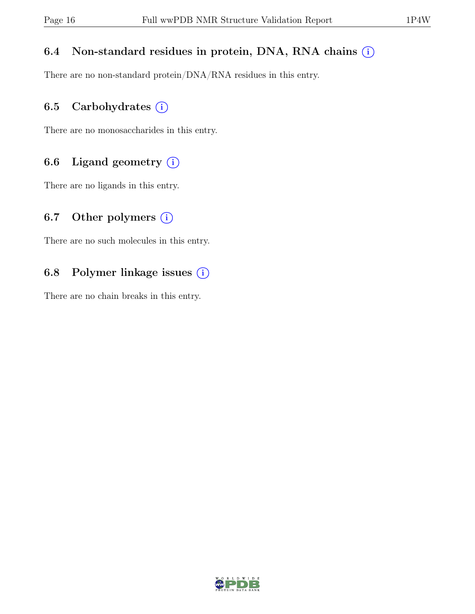## 6.4 Non-standard residues in protein, DNA, RNA chains  $(i)$

There are no non-standard protein/DNA/RNA residues in this entry.

## 6.5 Carbohydrates  $(i)$

There are no monosaccharides in this entry.

## 6.6 Ligand geometry  $(i)$

There are no ligands in this entry.

## 6.7 Other polymers  $(i)$

There are no such molecules in this entry.

## 6.8 Polymer linkage issues  $(i)$

There are no chain breaks in this entry.